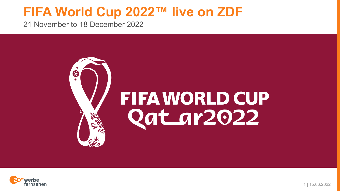21 November to 18 December 2022



# **FIFA WORLD CUP** Qatar2022

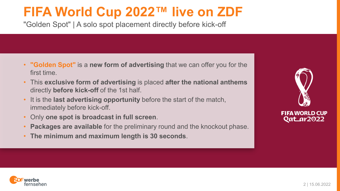"Golden Spot" | A solo spot placement directly before kick-off

- **"Golden Spot"** is a **new form of advertising** that we can offer you for the first time.
- This **exclusive form of advertising** is placed **after the national anthems**  directly **before kick-off** of the 1st half.
- It is the **last advertising opportunity** before the start of the match, immediately before kick-off.
- Only **one spot is broadcast in full screen**.
- **Packages are available** for the preliminary round and the knockout phase.
- **The minimum and maximum length is 30 seconds**.



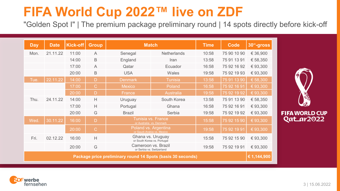"Golden Spot I" | The premium package preliminary round | 14 spots directly before kick-off

| <b>Day</b> | <b>Date</b> | <b>Kick-off</b> | Group          | <b>Match</b>                                                | <b>Time</b>        | <b>Code</b> | 30"-gross   |             |
|------------|-------------|-----------------|----------------|-------------------------------------------------------------|--------------------|-------------|-------------|-------------|
| Mon.       | 21.11.22    | 11:00           | $\overline{A}$ | Senegal                                                     | <b>Netherlands</b> | 10:58       | 75 90 10 90 | € 36,900    |
|            |             | 14:00           | B              | England                                                     | Iran               | 13:58       | 75 91 13 91 | € 58,350    |
|            |             | 17:00           | $\overline{A}$ | Qatar                                                       | Ecuador            | 16:58       | 75 92 16 92 | €93,300     |
|            |             | 20:00           | B              | <b>USA</b>                                                  | Wales              | 19:58       | 75 92 19 93 | €93,300     |
| Tue.       | 22.11.22    | 14:00           | D              | <b>Denmark</b>                                              | <b>Tunisia</b>     | 13:58       | 75 91 13 90 | € 58,300    |
|            |             | 17:00           | $\mathcal{C}$  | Mexico                                                      | Poland             | 16:58       | 75 92 16 91 | € 93,300    |
|            |             | 20:00           | $\mathsf{D}$   | France                                                      | <b>Australia</b>   | 19:58       | 75 92 19 92 | € 93,300    |
| Thu.       | 24.11.22    | 14:00           | H              | Uruguay                                                     | South Korea        | 13:58       | 75 91 13 90 | € 58,350    |
|            |             | 17:00           | H              | Portugal                                                    | Ghana              | 16:58       | 75 92 16 91 | €93,300     |
|            |             | 20:00           | G              | <b>Brazil</b>                                               | Serbia             | 19:58       | 75 92 19 92 | €93,300     |
| Wed.       | 30.11.22    | 16:00           | D              | Tunisia vs. France<br>or Australia vs. Denmark              | 15:58              | 75 92 15 90 | € 93,300    |             |
|            |             | 20:00           | $\mathsf{C}$   | Poland vs. Argentina<br>or Saudi-Arabia vs. Mexico          | 19:58              | 75 92 19 91 | € 93,300    |             |
| Fri.       | 02.12.22    | 16:00           | H              | Ghana vs. Uruguay<br>or South Korea vs. Portugal            |                    | 15:58       | 75 92 15 90 | € 93,300    |
|            |             | 20:00           | G              | Cameroon vs. Brazil<br>or Serbia vs. Switzerland            | 19:58              | 75 92 19 91 | € 93,300    |             |
|            |             |                 |                | Package price preliminary round 14 Spots (basis 30 seconds) |                    |             |             | € 1,144,900 |



**FIFA WORLD CUP** Qatar2022

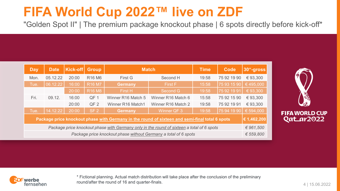"Golden Spot II" | The premium package knockout phase | 6 spots directly before kick-off\*

| <b>Day</b>                                                                                     | <b>Date</b> | Kick-off | Group                          | <b>Match</b>       | Code               | 30"-gross |             |           |
|------------------------------------------------------------------------------------------------|-------------|----------|--------------------------------|--------------------|--------------------|-----------|-------------|-----------|
| Mon.                                                                                           | 05.12.22    | 20:00    | R <sub>16</sub> M <sub>6</sub> | First G            | Second H           | 19:58     | 75 92 19 90 | €93.300   |
| Tue.                                                                                           | 06.12.22    | 16:00    | R16 M7                         | <b>Germany</b>     | First F            | 15:58     | 75 93 15 90 | €495,000  |
|                                                                                                |             | 20:00    | R <sub>16</sub> M <sub>8</sub> | First H            | Second G           | 19:58     | 75 92 19 91 | € 93,300  |
| Fri.                                                                                           | 09.12.      | 16:00    | QF <sub>1</sub>                | Winner R16 Match 5 | Winner R16 Match 6 | 15:58     | 75 92 15 90 | €93.300   |
|                                                                                                |             | 20:00    | QF <sub>2</sub>                | Winner R16 Match1  | Winner R16 Match 2 | 19:58     | 75 92 19 91 | € 93,300  |
| Tue.                                                                                           | 14.12.22    | 20:00    | SF <sub>2</sub>                | <b>Germany</b>     | Winner QF 3        | 19:58     | 75 94 19 90 | € 594,000 |
| Package price knockout phase with Germany in the round of sixteen and semi-final total 6 spots |             |          |                                |                    |                    |           |             |           |
| Package price knockout phase with Germany only in the round of sixteen a total of 6 spots      |             |          |                                |                    |                    |           |             | € 961.500 |
| Package price knockout phase without Germany a total of 6 spots                                |             |          |                                |                    |                    |           |             | € 559,800 |



**FIFA WORLD CUP** Qatar2022



\* Fictional planning. Actual match distribution will take place after the conclusion of the preliminary round/after the round of 16 and quarter-finals.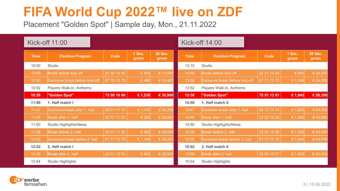Placement "Golden Spot" | Sample day, Mon., 21.11.2022

| Kick-off 11:00 |                                 |             |                 |                         | Kick-off 14:00           |                                 |             |                 |                         |
|----------------|---------------------------------|-------------|-----------------|-------------------------|--------------------------|---------------------------------|-------------|-----------------|-------------------------|
| <b>Time</b>    | <b>Position Program</b>         | Code        | 1 Sec.<br>gross | <b>30 Sec.</b><br>gross | <b>Time</b>              | <b>Position Program</b>         | Code        | 1 Sec.<br>gross | <b>20 Sec.</b><br>gross |
| 10:00          | Studio                          |             |                 |                         | 13:15                    | Studio                          |             |                 |                         |
| 10:49          | Break before kick-off           | 22 50 10 50 | €400            | € 12,000                | 13:48                    | Break before kick-off           | 22 51 13 54 | € 950           | € 28,500                |
| 10:50          | Exclusive break before kick-off | 67 70 10 70 | € 480           | € 14,400                | 13:50                    | Exclusive break before kick-off | 67 71 13 73 | € 1,140         | € 34,200                |
| 10:52          | Players Walk-In, Anthems        |             |                 | 13:52                   | Players Walk-In, Anthems |                                 |             |                 |                         |
| 10:58          | "Golden Spot"                   | 75 90 10 90 | € 1,230         | € 36,900                | 13:58                    | "Golden Spot"                   | 75 91 13 91 | € 1,945         | € 58,350                |
| 11:00          | 1. Half match I                 |             |                 |                         | 14:00                    | 1. Half match II                |             |                 |                         |
| 11:47          | Exclusive break after 1. half   | 66 71 11 71 | € 1,140         | € 34,200                | 14:47                    | Exclusive break after 1. half   | 66 73 14 74 | € 1,800         | € 54,000                |
| 11:48          | Break after 1. half             | 22 51 11 51 | € 950           | € 28,500                | 14:48                    | Break after 1. half             | 22 53 14 55 | € 1,500         | 645,000                 |
| 11:50          | <b>Studio Highlights/News</b>   |             |                 |                         | 14:50                    | <b>Studio Highlights/News</b>   |             |                 |                         |
| 11:58          | Break before 2. half            | 22 51 11 52 | € 950           | € 28,500                | 14:58                    | Break before 2. half            | 22 53 14 56 | € 1,500         | € 45,000                |
| 12:00          | Exclusive break before 2. half  | 67 71 12 72 | € 1,140         | € 34,200                | 15:00                    | Exclusive break before 2. half  | 67 73 15 75 | € 1,800         | € 54,000                |
| 12:02          | 2. Half match I                 |             |                 |                         | 15:02                    | 2. Half match II                |             |                 |                         |
| 12:50          | Break after 2. half             | 22 51 12 53 | € 950           | € 28,500                | 15:50                    | Break after 2. half             | 22 53 15 57 | € $1,500$       | € 45,000                |
| 12:54          | Studio Highlights               |             |                 |                         | 15:54                    | Studio Highlights               |             |                 |                         |

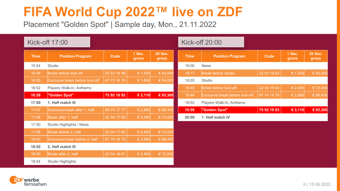Placement "Golden Spot" | Sample day, Mon., 21.11.2022

| Kick-off 17:00 |                                 |             |                 |                         | <b>Kick-off 20:00</b> |                                 |             |                 |                         |
|----------------|---------------------------------|-------------|-----------------|-------------------------|-----------------------|---------------------------------|-------------|-----------------|-------------------------|
| <b>Time</b>    | <b>Position Program</b>         | Code        | 1 Sec.<br>gross | <b>20 Sec.</b><br>gross | <b>Time</b>           | <b>Position Program</b>         | Code        | 1 Sec.<br>gross | <b>20 Sec.</b><br>gross |
| 15:54          | Studio                          |             |                 |                         | 19:00                 | <b>News</b>                     |             |                 |                         |
| 16:48          | Break before kick-off           | 22 53 16 58 | € 1,500         | €45,000                 | 19:17                 | <b>Break before studio</b>      | 22 53 19 62 | € 1,500         | € 45,000                |
| 16:50          | Exclusive break before kick-off | 67 73 16 76 | € 1,800         | € 54,000                | 19:20                 | Studio                          |             |                 |                         |
| 16:52          | Players Walk-In, Anthems        |             |                 |                         | 19:46                 | Break before kick-off           | 22 54 19 63 | € 2,400         | € 72,000                |
| 16:58          | "Golden Spot"                   | 75 92 16 92 | € 3,110         | € 93,300                | 19:48                 | Exclusive break before kick-off | 67 74 19 79 | € 2,880         | $\in 86,400$            |
| 17:00          | 1. Half match III               |             |                 |                         | 19:52                 | Players Walk-In, Anthems        |             |                 |                         |
| 17:47          | Exclusive break after 1. half   | 66 74 17 77 | € 2,880         | € 86,400                | 19:58                 | "Golden Spot"                   | 75 92 19 93 | € 3,110         | € 93,300                |
| 17:48          | Break after 1. half             | 22 54 17 59 | € 2,400         | € 72,000                | 20:00                 | 1. Half match IV                |             |                 |                         |
| 17:50          | Studio Highlights / News        |             |                 |                         |                       |                                 |             |                 |                         |
| 17:58          | Break before 2. half            | 22 54 17 60 | € 2,400         | € 72,000                |                       |                                 |             |                 |                         |
| 18:00          | Exclusive break before 2. half  | 67 74 18 78 | € 2,880         | € 86,400                |                       |                                 |             |                 |                         |
| 18:02          | 2. Half match III               |             |                 |                         |                       |                                 |             |                 |                         |
| 18:50          | Break after 2. half             | 22 54 18 61 | € 2,400         | € 72,000                |                       |                                 |             |                 |                         |
| 18:54          | Studio Highlights               |             |                 |                         |                       |                                 |             |                 |                         |

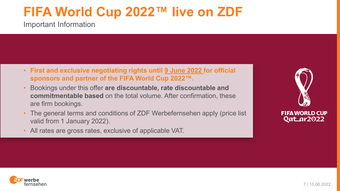Important Information

- **First and exclusive negotiating rights until 9 June 2022 for official sponsors and partner of the FIFA World Cup 2022™.**
- Bookings under this offer **are discountable, rate discountable and commitmentable based** on the total volume. After confirmation, these are firm bookings.
- The general terms and conditions of ZDF Werbefernsehen apply (price list valid from 1 January 2022).
- All rates are gross rates, exclusive of applicable VAT.